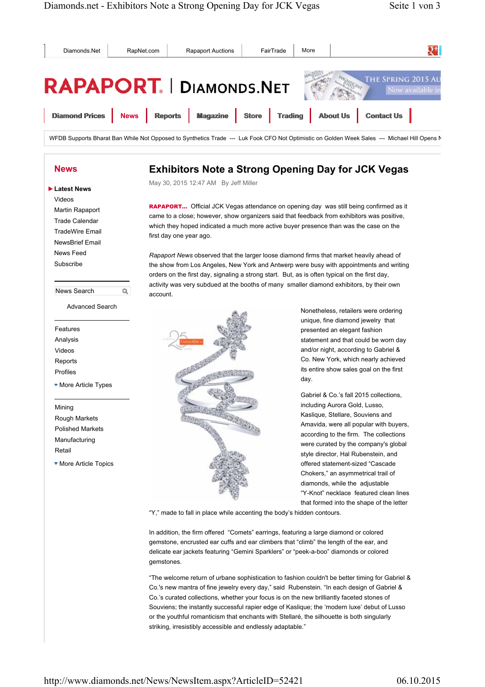

In addition, the firm offered "Comets" earrings, featuring a large diamond or colored gemstone, encrusted ear cuffs and ear climbers that "climb" the length of the ear, and delicate ear jackets featuring "Gemini Sparklers" or "peek-a-boo" diamonds or colored gemstones.

"The welcome return of urbane sophistication to fashion couldn't be better timing for Gabriel & Co.'s new mantra of fine jewelry every day," said Rubenstein. "In each design of Gabriel & Co.'s curated collections, whether your focus is on the new brilliantly faceted stones of Souviens; the instantly successful rapier edge of Kaslique; the 'modern luxe' debut of Lusso or the youthful romanticism that enchants with Stellaré, the silhouette is both singularly striking, irresistibly accessible and endlessly adaptable."

http://www.diamonds.net/News/NewsItem.aspx?ArticleID=52421 06.10.2015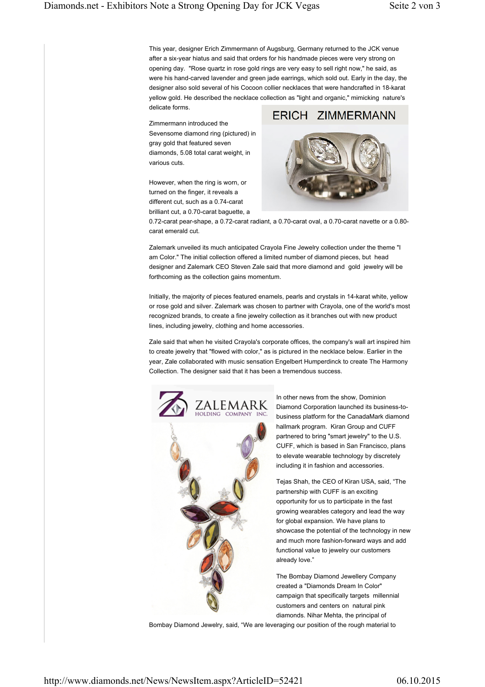This year, designer Erich Zimmermann of Augsburg, Germany returned to the JCK venue after a six-year hiatus and said that orders for his handmade pieces were very strong on opening day. "Rose quartz in rose gold rings are very easy to sell right now," he said, as were his hand-carved lavender and green jade earrings, which sold out. Early in the day, the designer also sold several of his Cocoon collier necklaces that were handcrafted in 18-karat yellow gold. He described the necklace collection as "light and organic," mimicking nature's delicate forms.

Zimmermann introduced the Sevensome diamond ring (pictured) in gray gold that featured seven diamonds, 5.08 total carat weight, in various cuts.

However, when the ring is worn, or turned on the finger, it reveals a different cut, such as a 0.74-carat brilliant cut, a 0.70-carat baguette, a



0.72-carat pear-shape, a 0.72-carat radiant, a 0.70-carat oval, a 0.70-carat navette or a 0.80 carat emerald cut.

Zalemark unveiled its much anticipated Crayola Fine Jewelry collection under the theme "I am Color." The initial collection offered a limited number of diamond pieces, but head designer and Zalemark CEO Steven Zale said that more diamond and gold jewelry will be forthcoming as the collection gains momentum.

Initially, the majority of pieces featured enamels, pearls and crystals in 14-karat white, yellow or rose gold and silver. Zalemark was chosen to partner with Crayola, one of the world's most recognized brands, to create a fine jewelry collection as it branches out with new product lines, including jewelry, clothing and home accessories.

Zale said that when he visited Crayola's corporate offices, the company's wall art inspired him to create jewelry that "flowed with color," as is pictured in the necklace below. Earlier in the year, Zale collaborated with music sensation Engelbert Humperdinck to create The Harmony Collection. The designer said that it has been a tremendous success.



In other news from the show, Dominion Diamond Corporation launched its business-tobusiness platform for the CanadaMark diamond hallmark program. Kiran Group and CUFF partnered to bring "smart jewelry" to the U.S. CUFF, which is based in San Francisco, plans to elevate wearable technology by discretely including it in fashion and accessories.

Tejas Shah, the CEO of Kiran USA, said, "The partnership with CUFF is an exciting opportunity for us to participate in the fast growing wearables category and lead the way for global expansion. We have plans to showcase the potential of the technology in new and much more fashion-forward ways and add functional value to jewelry our customers already love."

The Bombay Diamond Jewellery Company created a "Diamonds Dream In Color" campaign that specifically targets millennial customers and centers on natural pink diamonds. Nihar Mehta, the principal of

Bombay Diamond Jewelry, said, "We are leveraging our position of the rough material to